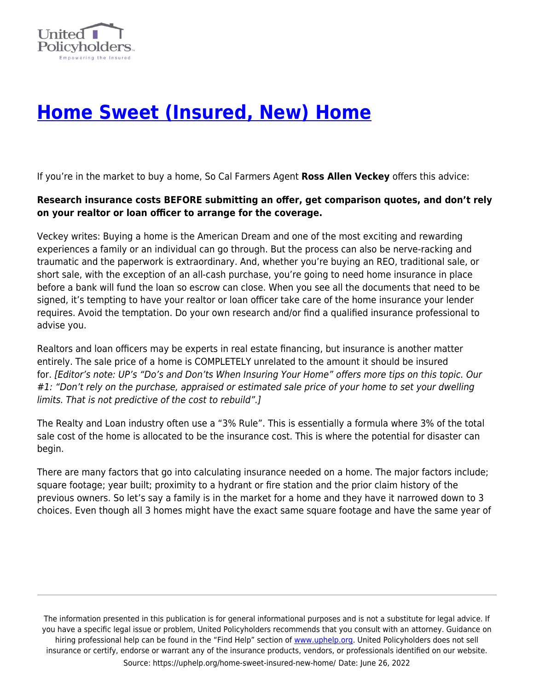

## **[Home Sweet \(Insured, New\) Home](https://uphelp.org/home-sweet-insured-new-home/)**

If you're in the market to buy a home, So Cal Farmers Agent **Ross Allen Veckey** offers this advice:

## **Research insurance costs BEFORE submitting an offer, get comparison quotes, and don't rely on your realtor or loan officer to arrange for the coverage.**

Veckey writes: Buying a home is the American Dream and one of the most exciting and rewarding experiences a family or an individual can go through. But the process can also be nerve-racking and traumatic and the paperwork is extraordinary. And, whether you're buying an REO, traditional sale, or short sale, with the exception of an all-cash purchase, you're going to need home insurance in place before a bank will fund the loan so escrow can close. When you see all the documents that need to be signed, it's tempting to have your realtor or loan officer take care of the home insurance your lender requires. Avoid the temptation. Do your own research and/or find a qualified insurance professional to advise you.

Realtors and loan officers may be experts in real estate financing, but insurance is another matter entirely. The sale price of a home is COMPLETELY unrelated to the amount it should be insured for. [Editor's note: UP's "Do's and Don'ts When Insuring Your Home" offers more tips on this topic. Our #1: "Don't rely on the purchase, appraised or estimated sale price of your home to set your dwelling limits. That is not predictive of the cost to rebuild".]

The Realty and Loan industry often use a "3% Rule". This is essentially a formula where 3% of the total sale cost of the home is allocated to be the insurance cost. This is where the potential for disaster can begin.

There are many factors that go into calculating insurance needed on a home. The major factors include; square footage; year built; proximity to a hydrant or fire station and the prior claim history of the previous owners. So let's say a family is in the market for a home and they have it narrowed down to 3 choices. Even though all 3 homes might have the exact same square footage and have the same year of

The information presented in this publication is for general informational purposes and is not a substitute for legal advice. If you have a specific legal issue or problem, United Policyholders recommends that you consult with an attorney. Guidance on hiring professional help can be found in the "Find Help" section of [www.uphelp.org.](http://www.uphelp.org/) United Policyholders does not sell insurance or certify, endorse or warrant any of the insurance products, vendors, or professionals identified on our website. Source: https://uphelp.org/home-sweet-insured-new-home/ Date: June 26, 2022